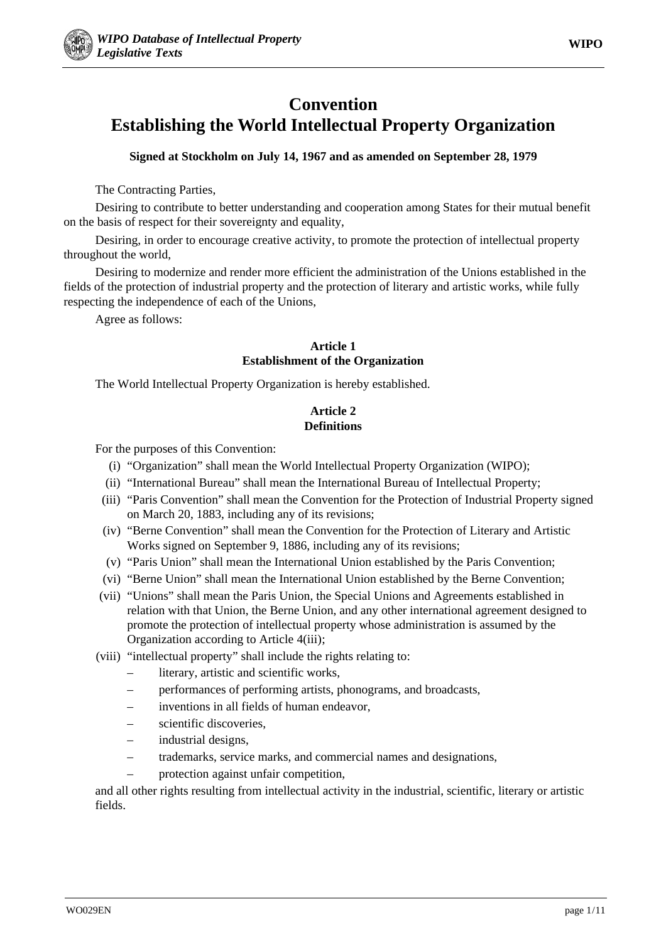# **Convention Establishing the World Intellectual Property Organization**

# **Signed at Stockholm on July 14, 1967 and as amended on September 28, 1979**

The Contracting Parties,

Desiring to contribute to better understanding and cooperation among States for their mutual benefit on the basis of respect for their sovereignty and equality,

Desiring, in order to encourage creative activity, to promote the protection of intellectual property throughout the world,

Desiring to modernize and render more efficient the administration of the Unions established in the fields of the protection of industrial property and the protection of literary and artistic works, while fully respecting the independence of each of the Unions,

Agree as follows:

#### **Article 1 Establishment of the Organization**

The World Intellectual Property Organization is hereby established.

# **Article 2 Definitions**

For the purposes of this Convention:

- (i) "Organization" shall mean the World Intellectual Property Organization (WIPO);
- (ii) "International Bureau" shall mean the International Bureau of Intellectual Property;
- (iii) "Paris Convention" shall mean the Convention for the Protection of Industrial Property signed on March 20, 1883, including any of its revisions;
- (iv) "Berne Convention" shall mean the Convention for the Protection of Literary and Artistic Works signed on September 9, 1886, including any of its revisions;
- (v) "Paris Union" shall mean the International Union established by the Paris Convention;
- (vi) "Berne Union" shall mean the International Union established by the Berne Convention;
- (vii) "Unions" shall mean the Paris Union, the Special Unions and Agreements established in relation with that Union, the Berne Union, and any other international agreement designed to promote the protection of intellectual property whose administration is assumed by the Organization according to Article 4(iii);
- (viii) "intellectual property" shall include the rights relating to:
	- literary, artistic and scientific works,
	- performances of performing artists, phonograms, and broadcasts,
	- inventions in all fields of human endeavor,
	- scientific discoveries.
	- industrial designs,
	- trademarks, service marks, and commercial names and designations,
	- protection against unfair competition,

and all other rights resulting from intellectual activity in the industrial, scientific, literary or artistic fields.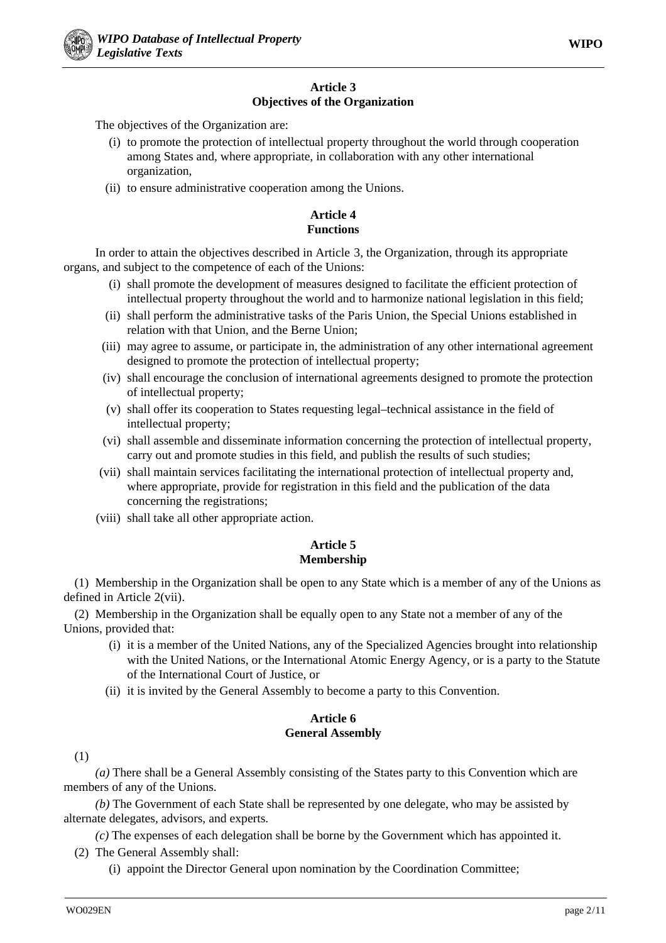## **Article 3 Objectives of the Organization**

The objectives of the Organization are:

- (i) to promote the protection of intellectual property throughout the world through cooperation among States and, where appropriate, in collaboration with any other international organization,
- (ii) to ensure administrative cooperation among the Unions.

# **Article 4 Functions**

In order to attain the objectives described in Article 3, the Organization, through its appropriate organs, and subject to the competence of each of the Unions:

- (i) shall promote the development of measures designed to facilitate the efficient protection of intellectual property throughout the world and to harmonize national legislation in this field;
- (ii) shall perform the administrative tasks of the Paris Union, the Special Unions established in relation with that Union, and the Berne Union;
- (iii) may agree to assume, or participate in, the administration of any other international agreement designed to promote the protection of intellectual property;
- (iv) shall encourage the conclusion of international agreements designed to promote the protection of intellectual property;
- (v) shall offer its cooperation to States requesting legal–technical assistance in the field of intellectual property;
- (vi) shall assemble and disseminate information concerning the protection of intellectual property, carry out and promote studies in this field, and publish the results of such studies;
- (vii) shall maintain services facilitating the international protection of intellectual property and, where appropriate, provide for registration in this field and the publication of the data concerning the registrations;
- (viii) shall take all other appropriate action.

## **Article 5 Membership**

(1) Membership in the Organization shall be open to any State which is a member of any of the Unions as defined in Article 2(vii).

(2) Membership in the Organization shall be equally open to any State not a member of any of the Unions, provided that:

- (i) it is a member of the United Nations, any of the Specialized Agencies brought into relationship with the United Nations, or the International Atomic Energy Agency, or is a party to the Statute of the International Court of Justice, or
- (ii) it is invited by the General Assembly to become a party to this Convention.

# **Article 6 General Assembly**

# (1)

*(a)* There shall be a General Assembly consisting of the States party to this Convention which are members of any of the Unions.

*(b)* The Government of each State shall be represented by one delegate, who may be assisted by alternate delegates, advisors, and experts.

*(c)* The expenses of each delegation shall be borne by the Government which has appointed it.

(2) The General Assembly shall:

(i) appoint the Director General upon nomination by the Coordination Committee;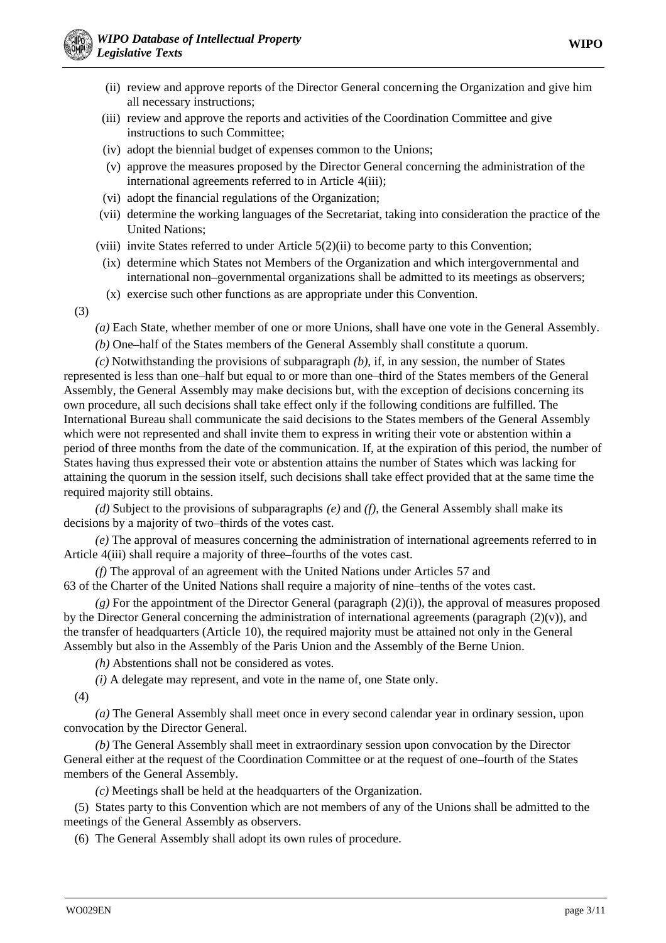

- (ii) review and approve reports of the Director General concerning the Organization and give him all necessary instructions;
- (iii) review and approve the reports and activities of the Coordination Committee and give instructions to such Committee;
- (iv) adopt the biennial budget of expenses common to the Unions;
- (v) approve the measures proposed by the Director General concerning the administration of the international agreements referred to in Article 4(iii);
- (vi) adopt the financial regulations of the Organization;
- (vii) determine the working languages of the Secretariat, taking into consideration the practice of the United Nations;
- (viii) invite States referred to under Article  $5(2)(ii)$  to become party to this Convention;
- (ix) determine which States not Members of the Organization and which intergovernmental and international non–governmental organizations shall be admitted to its meetings as observers;
- (x) exercise such other functions as are appropriate under this Convention.
- (3)

*(a)* Each State, whether member of one or more Unions, shall have one vote in the General Assembly.

*(b)* One–half of the States members of the General Assembly shall constitute a quorum.

*(c)* Notwithstanding the provisions of subparagraph *(b)*, if, in any session, the number of States represented is less than one–half but equal to or more than one–third of the States members of the General Assembly, the General Assembly may make decisions but, with the exception of decisions concerning its own procedure, all such decisions shall take effect only if the following conditions are fulfilled. The International Bureau shall communicate the said decisions to the States members of the General Assembly which were not represented and shall invite them to express in writing their vote or abstention within a period of three months from the date of the communication. If, at the expiration of this period, the number of States having thus expressed their vote or abstention attains the number of States which was lacking for attaining the quorum in the session itself, such decisions shall take effect provided that at the same time the required majority still obtains.

*(d)* Subject to the provisions of subparagraphs *(e)* and *(f)*, the General Assembly shall make its decisions by a majority of two–thirds of the votes cast.

*(e)* The approval of measures concerning the administration of international agreements referred to in Article 4(iii) shall require a majority of three–fourths of the votes cast.

*(f)* The approval of an agreement with the United Nations under Articles 57 and 63 of the Charter of the United Nations shall require a majority of nine–tenths of the votes cast.

*(g)* For the appointment of the Director General (paragraph (2)(i)), the approval of measures proposed by the Director General concerning the administration of international agreements (paragraph (2)(v)), and the transfer of headquarters (Article 10), the required majority must be attained not only in the General Assembly but also in the Assembly of the Paris Union and the Assembly of the Berne Union.

*(h)* Abstentions shall not be considered as votes.

*(i)* A delegate may represent, and vote in the name of, one State only.

(4)

*(a)* The General Assembly shall meet once in every second calendar year in ordinary session, upon convocation by the Director General.

*(b)* The General Assembly shall meet in extraordinary session upon convocation by the Director General either at the request of the Coordination Committee or at the request of one–fourth of the States members of the General Assembly.

*(c)* Meetings shall be held at the headquarters of the Organization.

(5) States party to this Convention which are not members of any of the Unions shall be admitted to the meetings of the General Assembly as observers.

(6) The General Assembly shall adopt its own rules of procedure.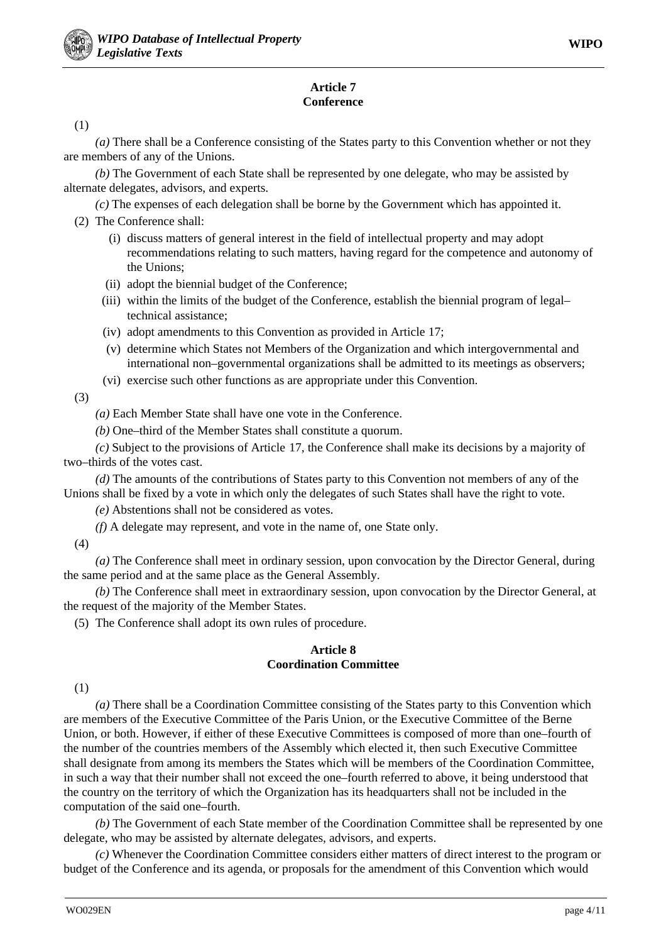#### **Article 7 Conference**

(1)

*(a)* There shall be a Conference consisting of the States party to this Convention whether or not they are members of any of the Unions.

*(b)* The Government of each State shall be represented by one delegate, who may be assisted by alternate delegates, advisors, and experts.

*(c)* The expenses of each delegation shall be borne by the Government which has appointed it.

- (2) The Conference shall:
	- (i) discuss matters of general interest in the field of intellectual property and may adopt recommendations relating to such matters, having regard for the competence and autonomy of the Unions;
	- (ii) adopt the biennial budget of the Conference;
	- (iii) within the limits of the budget of the Conference, establish the biennial program of legal– technical assistance;
	- (iv) adopt amendments to this Convention as provided in Article 17;
	- (v) determine which States not Members of the Organization and which intergovernmental and international non–governmental organizations shall be admitted to its meetings as observers;
	- (vi) exercise such other functions as are appropriate under this Convention.

(3)

*(a)* Each Member State shall have one vote in the Conference.

*(b)* One–third of the Member States shall constitute a quorum.

*(c)* Subject to the provisions of Article 17, the Conference shall make its decisions by a majority of two–thirds of the votes cast.

*(d)* The amounts of the contributions of States party to this Convention not members of any of the Unions shall be fixed by a vote in which only the delegates of such States shall have the right to vote.

*(e)* Abstentions shall not be considered as votes.

*(f)* A delegate may represent, and vote in the name of, one State only.

(4)

*(a)* The Conference shall meet in ordinary session, upon convocation by the Director General, during the same period and at the same place as the General Assembly.

*(b)* The Conference shall meet in extraordinary session, upon convocation by the Director General, at the request of the majority of the Member States.

(5) The Conference shall adopt its own rules of procedure.

## **Article 8 Coordination Committee**

(1)

*(a)* There shall be a Coordination Committee consisting of the States party to this Convention which are members of the Executive Committee of the Paris Union, or the Executive Committee of the Berne Union, or both. However, if either of these Executive Committees is composed of more than one–fourth of the number of the countries members of the Assembly which elected it, then such Executive Committee shall designate from among its members the States which will be members of the Coordination Committee, in such a way that their number shall not exceed the one–fourth referred to above, it being understood that the country on the territory of which the Organization has its headquarters shall not be included in the computation of the said one–fourth.

*(b)* The Government of each State member of the Coordination Committee shall be represented by one delegate, who may be assisted by alternate delegates, advisors, and experts.

*(c)* Whenever the Coordination Committee considers either matters of direct interest to the program or budget of the Conference and its agenda, or proposals for the amendment of this Convention which would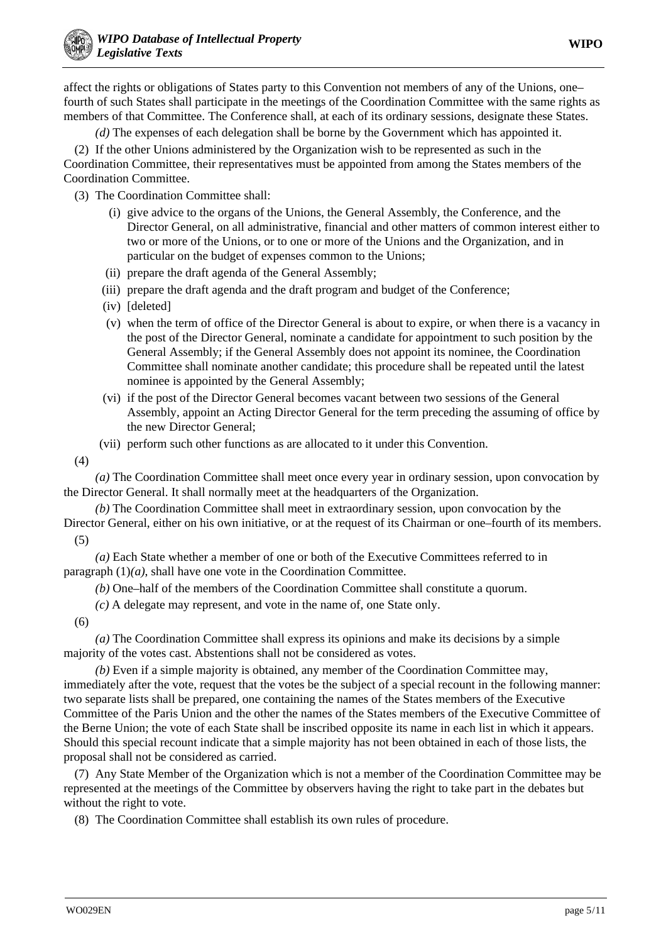affect the rights or obligations of States party to this Convention not members of any of the Unions, one– fourth of such States shall participate in the meetings of the Coordination Committee with the same rights as members of that Committee. The Conference shall, at each of its ordinary sessions, designate these States.

*(d)* The expenses of each delegation shall be borne by the Government which has appointed it.

(2) If the other Unions administered by the Organization wish to be represented as such in the Coordination Committee, their representatives must be appointed from among the States members of the Coordination Committee.

(3) The Coordination Committee shall:

- (i) give advice to the organs of the Unions, the General Assembly, the Conference, and the Director General, on all administrative, financial and other matters of common interest either to two or more of the Unions, or to one or more of the Unions and the Organization, and in particular on the budget of expenses common to the Unions;
- (ii) prepare the draft agenda of the General Assembly;
- (iii) prepare the draft agenda and the draft program and budget of the Conference;
- (iv) [deleted]
- (v) when the term of office of the Director General is about to expire, or when there is a vacancy in the post of the Director General, nominate a candidate for appointment to such position by the General Assembly; if the General Assembly does not appoint its nominee, the Coordination Committee shall nominate another candidate; this procedure shall be repeated until the latest nominee is appointed by the General Assembly;
- (vi) if the post of the Director General becomes vacant between two sessions of the General Assembly, appoint an Acting Director General for the term preceding the assuming of office by the new Director General;
- (vii) perform such other functions as are allocated to it under this Convention.

(4)

*(a)* The Coordination Committee shall meet once every year in ordinary session, upon convocation by the Director General. It shall normally meet at the headquarters of the Organization.

*(b)* The Coordination Committee shall meet in extraordinary session, upon convocation by the Director General, either on his own initiative, or at the request of its Chairman or one–fourth of its members. (5)

*(a)* Each State whether a member of one or both of the Executive Committees referred to in paragraph  $(1)(a)$ , shall have one vote in the Coordination Committee.

*(b)* One–half of the members of the Coordination Committee shall constitute a quorum.

*(c)* A delegate may represent, and vote in the name of, one State only.

 $(6)$ 

*(a)* The Coordination Committee shall express its opinions and make its decisions by a simple majority of the votes cast. Abstentions shall not be considered as votes.

*(b)* Even if a simple majority is obtained, any member of the Coordination Committee may, immediately after the vote, request that the votes be the subject of a special recount in the following manner: two separate lists shall be prepared, one containing the names of the States members of the Executive Committee of the Paris Union and the other the names of the States members of the Executive Committee of the Berne Union; the vote of each State shall be inscribed opposite its name in each list in which it appears. Should this special recount indicate that a simple majority has not been obtained in each of those lists, the proposal shall not be considered as carried.

(7) Any State Member of the Organization which is not a member of the Coordination Committee may be represented at the meetings of the Committee by observers having the right to take part in the debates but without the right to vote.

(8) The Coordination Committee shall establish its own rules of procedure.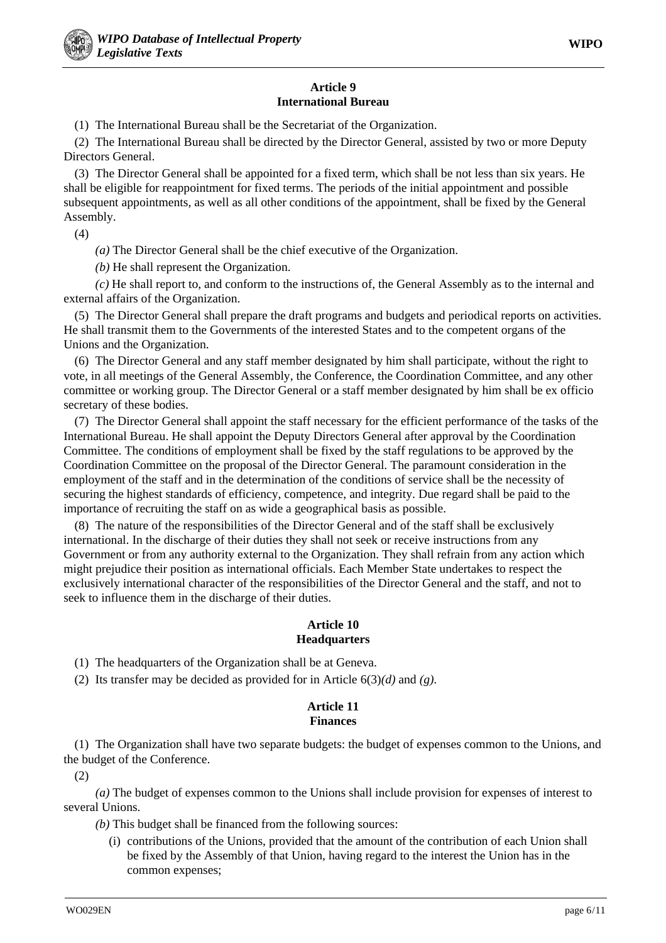# **Article 9 International Bureau**

(1) The International Bureau shall be the Secretariat of the Organization.

(2) The International Bureau shall be directed by the Director General, assisted by two or more Deputy Directors General.

(3) The Director General shall be appointed for a fixed term, which shall be not less than six years. He shall be eligible for reappointment for fixed terms. The periods of the initial appointment and possible subsequent appointments, as well as all other conditions of the appointment, shall be fixed by the General Assembly.

(4)

*(a)* The Director General shall be the chief executive of the Organization.

*(b)* He shall represent the Organization.

*(c)* He shall report to, and conform to the instructions of, the General Assembly as to the internal and external affairs of the Organization.

(5) The Director General shall prepare the draft programs and budgets and periodical reports on activities. He shall transmit them to the Governments of the interested States and to the competent organs of the Unions and the Organization.

(6) The Director General and any staff member designated by him shall participate, without the right to vote, in all meetings of the General Assembly, the Conference, the Coordination Committee, and any other committee or working group. The Director General or a staff member designated by him shall be ex officio secretary of these bodies.

(7) The Director General shall appoint the staff necessary for the efficient performance of the tasks of the International Bureau. He shall appoint the Deputy Directors General after approval by the Coordination Committee. The conditions of employment shall be fixed by the staff regulations to be approved by the Coordination Committee on the proposal of the Director General. The paramount consideration in the employment of the staff and in the determination of the conditions of service shall be the necessity of securing the highest standards of efficiency, competence, and integrity. Due regard shall be paid to the importance of recruiting the staff on as wide a geographical basis as possible.

(8) The nature of the responsibilities of the Director General and of the staff shall be exclusively international. In the discharge of their duties they shall not seek or receive instructions from any Government or from any authority external to the Organization. They shall refrain from any action which might prejudice their position as international officials. Each Member State undertakes to respect the exclusively international character of the responsibilities of the Director General and the staff, and not to seek to influence them in the discharge of their duties.

#### **Article 10 Headquarters**

(1) The headquarters of the Organization shall be at Geneva.

(2) Its transfer may be decided as provided for in Article 6(3)*(d)* and *(g)*.

# **Article 11 Finances**

(1) The Organization shall have two separate budgets: the budget of expenses common to the Unions, and the budget of the Conference.

(2)

*(a)* The budget of expenses common to the Unions shall include provision for expenses of interest to several Unions.

*(b)* This budget shall be financed from the following sources:

(i) contributions of the Unions, provided that the amount of the contribution of each Union shall be fixed by the Assembly of that Union, having regard to the interest the Union has in the common expenses;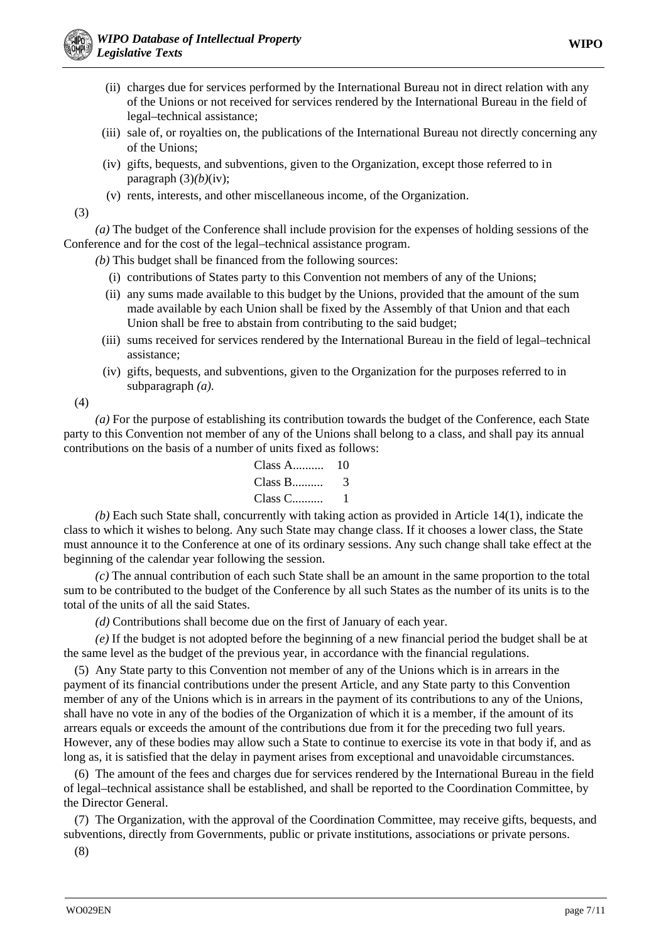- (ii) charges due for services performed by the International Bureau not in direct relation with any of the Unions or not received for services rendered by the International Bureau in the field of legal–technical assistance;
- (iii) sale of, or royalties on, the publications of the International Bureau not directly concerning any of the Unions;
- (iv) gifts, bequests, and subventions, given to the Organization, except those referred to in paragraph (3)*(b)*(iv);
- (v) rents, interests, and other miscellaneous income, of the Organization.

(3)

*(a)* The budget of the Conference shall include provision for the expenses of holding sessions of the Conference and for the cost of the legal–technical assistance program.

- *(b)* This budget shall be financed from the following sources:
	- (i) contributions of States party to this Convention not members of any of the Unions;
	- (ii) any sums made available to this budget by the Unions, provided that the amount of the sum made available by each Union shall be fixed by the Assembly of that Union and that each Union shall be free to abstain from contributing to the said budget;
	- (iii) sums received for services rendered by the International Bureau in the field of legal–technical assistance;
	- (iv) gifts, bequests, and subventions, given to the Organization for the purposes referred to in subparagraph *(a)*.

 $(4)$ 

*(a)* For the purpose of establishing its contribution towards the budget of the Conference, each State party to this Convention not member of any of the Unions shall belong to a class, and shall pay its annual contributions on the basis of a number of units fixed as follows:

| Class A   | 10 |
|-----------|----|
| Class B   | 3  |
| $Class C$ |    |

*(b)* Each such State shall, concurrently with taking action as provided in Article 14(1), indicate the class to which it wishes to belong. Any such State may change class. If it chooses a lower class, the State must announce it to the Conference at one of its ordinary sessions. Any such change shall take effect at the beginning of the calendar year following the session.

*(c)* The annual contribution of each such State shall be an amount in the same proportion to the total sum to be contributed to the budget of the Conference by all such States as the number of its units is to the total of the units of all the said States.

*(d)* Contributions shall become due on the first of January of each year.

*(e)* If the budget is not adopted before the beginning of a new financial period the budget shall be at the same level as the budget of the previous year, in accordance with the financial regulations.

(5) Any State party to this Convention not member of any of the Unions which is in arrears in the payment of its financial contributions under the present Article, and any State party to this Convention member of any of the Unions which is in arrears in the payment of its contributions to any of the Unions, shall have no vote in any of the bodies of the Organization of which it is a member, if the amount of its arrears equals or exceeds the amount of the contributions due from it for the preceding two full years. However, any of these bodies may allow such a State to continue to exercise its vote in that body if, and as long as, it is satisfied that the delay in payment arises from exceptional and unavoidable circumstances.

(6) The amount of the fees and charges due for services rendered by the International Bureau in the field of legal–technical assistance shall be established, and shall be reported to the Coordination Committee, by the Director General.

(7) The Organization, with the approval of the Coordination Committee, may receive gifts, bequests, and subventions, directly from Governments, public or private institutions, associations or private persons.

(8)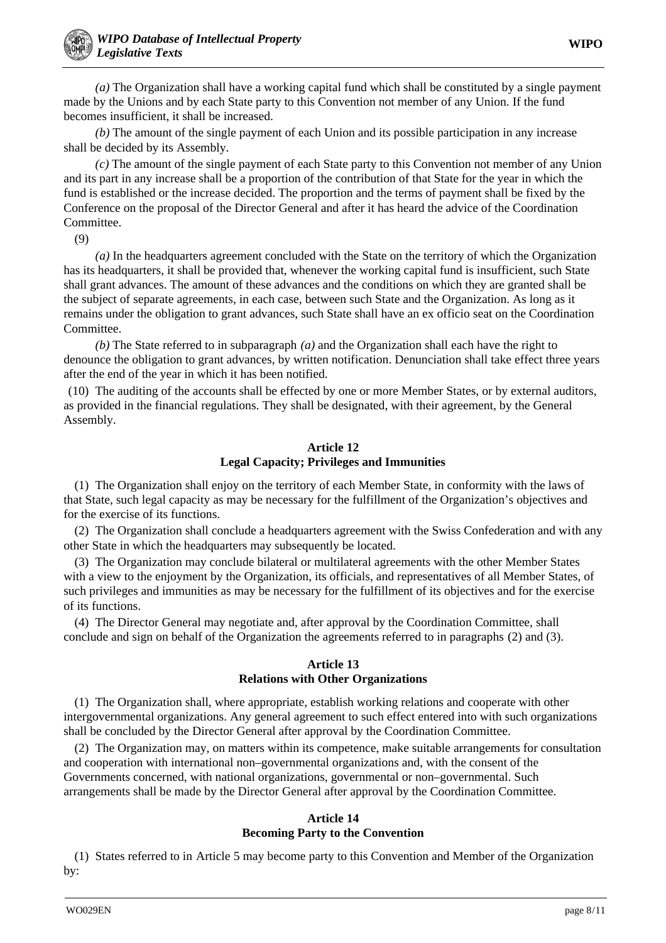*(a)* The Organization shall have a working capital fund which shall be constituted by a single payment made by the Unions and by each State party to this Convention not member of any Union. If the fund becomes insufficient, it shall be increased.

*(b)* The amount of the single payment of each Union and its possible participation in any increase shall be decided by its Assembly.

*(c)* The amount of the single payment of each State party to this Convention not member of any Union and its part in any increase shall be a proportion of the contribution of that State for the year in which the fund is established or the increase decided. The proportion and the terms of payment shall be fixed by the Conference on the proposal of the Director General and after it has heard the advice of the Coordination Committee.

(9)

*(a)* In the headquarters agreement concluded with the State on the territory of which the Organization has its headquarters, it shall be provided that, whenever the working capital fund is insufficient, such State shall grant advances. The amount of these advances and the conditions on which they are granted shall be the subject of separate agreements, in each case, between such State and the Organization. As long as it remains under the obligation to grant advances, such State shall have an ex officio seat on the Coordination Committee.

*(b)* The State referred to in subparagraph *(a)* and the Organization shall each have the right to denounce the obligation to grant advances, by written notification. Denunciation shall take effect three years after the end of the year in which it has been notified.

(10) The auditing of the accounts shall be effected by one or more Member States, or by external auditors, as provided in the financial regulations. They shall be designated, with their agreement, by the General Assembly.

#### **Article 12 Legal Capacity; Privileges and Immunities**

(1) The Organization shall enjoy on the territory of each Member State, in conformity with the laws of that State, such legal capacity as may be necessary for the fulfillment of the Organization's objectives and for the exercise of its functions.

(2) The Organization shall conclude a headquarters agreement with the Swiss Confederation and with any other State in which the headquarters may subsequently be located.

(3) The Organization may conclude bilateral or multilateral agreements with the other Member States with a view to the enjoyment by the Organization, its officials, and representatives of all Member States, of such privileges and immunities as may be necessary for the fulfillment of its objectives and for the exercise of its functions.

(4) The Director General may negotiate and, after approval by the Coordination Committee, shall conclude and sign on behalf of the Organization the agreements referred to in paragraphs (2) and (3).

#### **Article 13 Relations with Other Organizations**

(1) The Organization shall, where appropriate, establish working relations and cooperate with other intergovernmental organizations. Any general agreement to such effect entered into with such organizations shall be concluded by the Director General after approval by the Coordination Committee.

(2) The Organization may, on matters within its competence, make suitable arrangements for consultation and cooperation with international non–governmental organizations and, with the consent of the Governments concerned, with national organizations, governmental or non–governmental. Such arrangements shall be made by the Director General after approval by the Coordination Committee.

# **Article 14**

#### **Becoming Party to the Convention**

(1) States referred to in Article 5 may become party to this Convention and Member of the Organization by: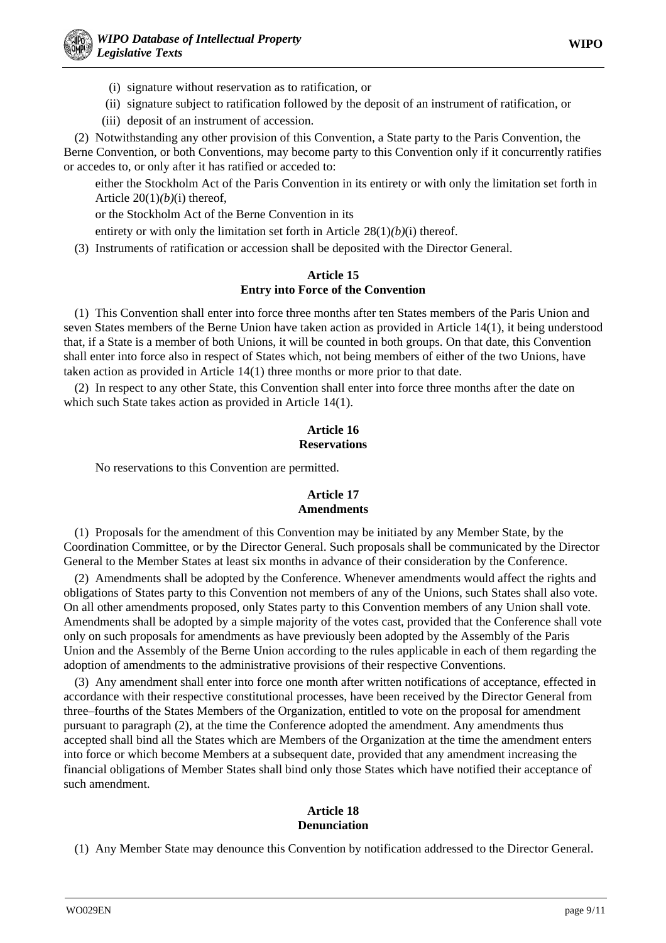- (i) signature without reservation as to ratification, or
- (ii) signature subject to ratification followed by the deposit of an instrument of ratification, or
- (iii) deposit of an instrument of accession.

(2) Notwithstanding any other provision of this Convention, a State party to the Paris Convention, the Berne Convention, or both Conventions, may become party to this Convention only if it concurrently ratifies or accedes to, or only after it has ratified or acceded to:

either the Stockholm Act of the Paris Convention in its entirety or with only the limitation set forth in Article 20(1)*(b)*(i) thereof,

or the Stockholm Act of the Berne Convention in its

entirety or with only the limitation set forth in Article  $28(1)(b)(i)$  thereof.

(3) Instruments of ratification or accession shall be deposited with the Director General.

## **Article 15 Entry into Force of the Convention**

(1) This Convention shall enter into force three months after ten States members of the Paris Union and seven States members of the Berne Union have taken action as provided in Article 14(1), it being understood that, if a State is a member of both Unions, it will be counted in both groups. On that date, this Convention shall enter into force also in respect of States which, not being members of either of the two Unions, have taken action as provided in Article 14(1) three months or more prior to that date.

(2) In respect to any other State, this Convention shall enter into force three months after the date on which such State takes action as provided in Article 14(1).

#### **Article 16 Reservations**

No reservations to this Convention are permitted.

#### **Article 17 Amendments**

(1) Proposals for the amendment of this Convention may be initiated by any Member State, by the Coordination Committee, or by the Director General. Such proposals shall be communicated by the Director General to the Member States at least six months in advance of their consideration by the Conference.

(2) Amendments shall be adopted by the Conference. Whenever amendments would affect the rights and obligations of States party to this Convention not members of any of the Unions, such States shall also vote. On all other amendments proposed, only States party to this Convention members of any Union shall vote. Amendments shall be adopted by a simple majority of the votes cast, provided that the Conference shall vote only on such proposals for amendments as have previously been adopted by the Assembly of the Paris Union and the Assembly of the Berne Union according to the rules applicable in each of them regarding the adoption of amendments to the administrative provisions of their respective Conventions.

(3) Any amendment shall enter into force one month after written notifications of acceptance, effected in accordance with their respective constitutional processes, have been received by the Director General from three–fourths of the States Members of the Organization, entitled to vote on the proposal for amendment pursuant to paragraph (2), at the time the Conference adopted the amendment. Any amendments thus accepted shall bind all the States which are Members of the Organization at the time the amendment enters into force or which become Members at a subsequent date, provided that any amendment increasing the financial obligations of Member States shall bind only those States which have notified their acceptance of such amendment.

#### **Article 18 Denunciation**

(1) Any Member State may denounce this Convention by notification addressed to the Director General.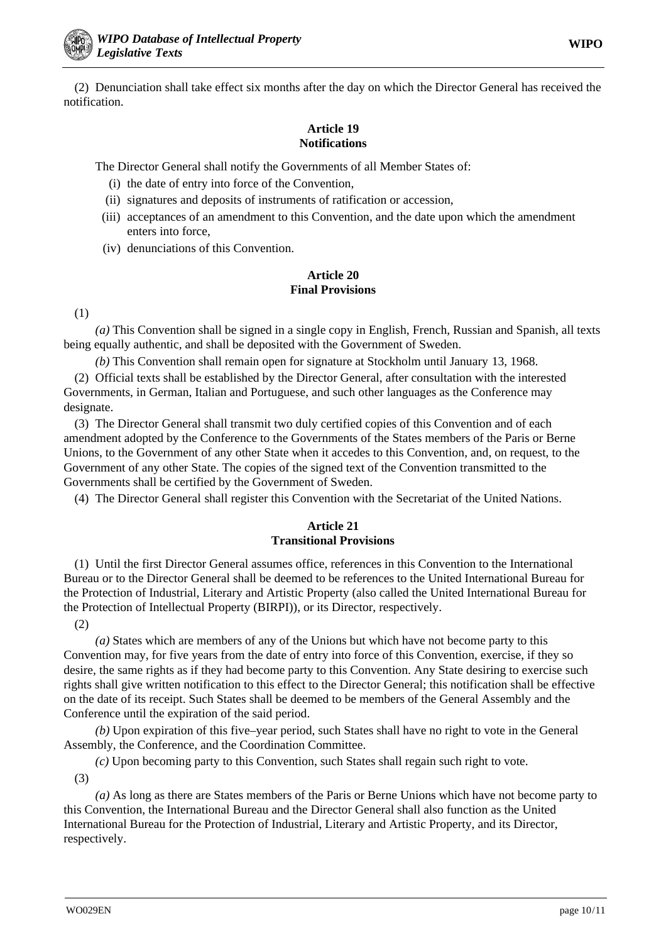(2) Denunciation shall take effect six months after the day on which the Director General has received the notification.

# **Article 19 Notifications**

The Director General shall notify the Governments of all Member States of:

- (i) the date of entry into force of the Convention,
- (ii) signatures and deposits of instruments of ratification or accession,
- (iii) acceptances of an amendment to this Convention, and the date upon which the amendment enters into force,
- (iv) denunciations of this Convention.

## **Article 20 Final Provisions**

(1)

*(a)* This Convention shall be signed in a single copy in English, French, Russian and Spanish, all texts being equally authentic, and shall be deposited with the Government of Sweden.

*(b)* This Convention shall remain open for signature at Stockholm until January 13, 1968.

(2) Official texts shall be established by the Director General, after consultation with the interested Governments, in German, Italian and Portuguese, and such other languages as the Conference may designate.

(3) The Director General shall transmit two duly certified copies of this Convention and of each amendment adopted by the Conference to the Governments of the States members of the Paris or Berne Unions, to the Government of any other State when it accedes to this Convention, and, on request, to the Government of any other State. The copies of the signed text of the Convention transmitted to the Governments shall be certified by the Government of Sweden.

(4) The Director General shall register this Convention with the Secretariat of the United Nations.

## **Article 21 Transitional Provisions**

(1) Until the first Director General assumes office, references in this Convention to the International Bureau or to the Director General shall be deemed to be references to the United International Bureau for the Protection of Industrial, Literary and Artistic Property (also called the United International Bureau for the Protection of Intellectual Property (BIRPI)), or its Director, respectively.

(2)

*(a)* States which are members of any of the Unions but which have not become party to this Convention may, for five years from the date of entry into force of this Convention, exercise, if they so desire, the same rights as if they had become party to this Convention. Any State desiring to exercise such rights shall give written notification to this effect to the Director General; this notification shall be effective on the date of its receipt. Such States shall be deemed to be members of the General Assembly and the Conference until the expiration of the said period.

*(b)* Upon expiration of this five–year period, such States shall have no right to vote in the General Assembly, the Conference, and the Coordination Committee.

*(c)* Upon becoming party to this Convention, such States shall regain such right to vote.

(3)

*(a)* As long as there are States members of the Paris or Berne Unions which have not become party to this Convention, the International Bureau and the Director General shall also function as the United International Bureau for the Protection of Industrial, Literary and Artistic Property, and its Director, respectively.